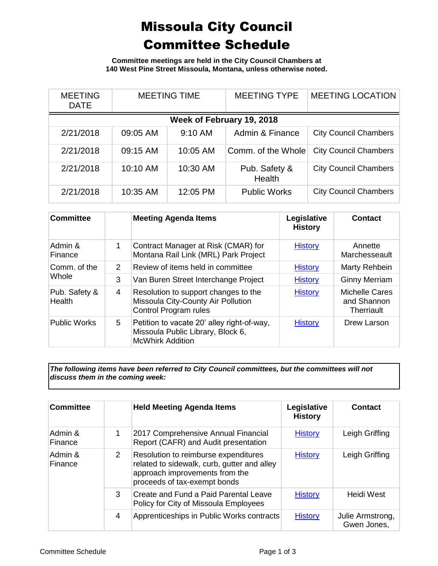## Missoula City Council Committee Schedule

**Committee meetings are held in the City Council Chambers at 140 West Pine Street Missoula, Montana, unless otherwise noted.**

| <b>MEETING</b><br><b>DATE</b> | <b>MEETING TIME</b> |          | <b>MEETING TYPE</b>     | <b>MEETING LOCATION</b>      |  |
|-------------------------------|---------------------|----------|-------------------------|------------------------------|--|
| Week of February 19, 2018     |                     |          |                         |                              |  |
| 2/21/2018                     | 09:05 AM            | 9:10 AM  | Admin & Finance         | <b>City Council Chambers</b> |  |
| 2/21/2018                     | 09:15 AM            | 10:05 AM | Comm. of the Whole      | <b>City Council Chambers</b> |  |
| 2/21/2018                     | 10:10 AM            | 10:30 AM | Pub. Safety &<br>Health | <b>City Council Chambers</b> |  |
| 2/21/2018                     | 10:35 AM            | 12:05 PM | <b>Public Works</b>     | <b>City Council Chambers</b> |  |

| <b>Committee</b>        |   | <b>Meeting Agenda Items</b>                                                                                | Legislative<br><b>History</b> | Contact                                            |
|-------------------------|---|------------------------------------------------------------------------------------------------------------|-------------------------------|----------------------------------------------------|
| Admin &<br>Finance      | 1 | Contract Manager at Risk (CMAR) for<br>Montana Rail Link (MRL) Park Project                                | <b>History</b>                | Annette<br>Marchesseault                           |
| Comm. of the<br>Whole   | 2 | Review of items held in committee                                                                          | <b>History</b>                | Marty Rehbein                                      |
|                         | 3 | Van Buren Street Interchange Project                                                                       | <b>History</b>                | <b>Ginny Merriam</b>                               |
| Pub. Safety &<br>Health | 4 | Resolution to support changes to the<br>Missoula City-County Air Pollution<br><b>Control Program rules</b> | <b>History</b>                | <b>Michelle Cares</b><br>and Shannon<br>Therriault |
| <b>Public Works</b>     | 5 | Petition to vacate 20' alley right-of-way,<br>Missoula Public Library, Block 6,<br><b>McWhirk Addition</b> | <b>History</b>                | Drew Larson                                        |

*The following items have been referred to City Council committees, but the committees will not discuss them in the coming week:*

| <b>Committee</b>   |               | <b>Held Meeting Agenda Items</b>                                                                                                                      | Legislative<br><b>History</b> | <b>Contact</b>                  |
|--------------------|---------------|-------------------------------------------------------------------------------------------------------------------------------------------------------|-------------------------------|---------------------------------|
| Admin &<br>Finance |               | 2017 Comprehensive Annual Financial<br>Report (CAFR) and Audit presentation                                                                           | <b>History</b>                | Leigh Griffing                  |
| Admin &<br>Finance | 2             | Resolution to reimburse expenditures<br>related to sidewalk, curb, gutter and alley<br>approach improvements from the<br>proceeds of tax-exempt bonds | <b>History</b>                | Leigh Griffing                  |
|                    | $\mathcal{S}$ | Create and Fund a Paid Parental Leave<br>Policy for City of Missoula Employees                                                                        | <b>History</b>                | Heidi West                      |
|                    | 4             | Apprenticeships in Public Works contracts                                                                                                             | <b>History</b>                | Julie Armstrong,<br>Gwen Jones, |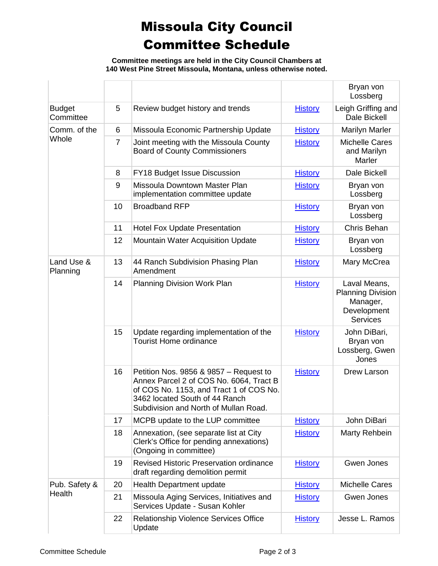## Missoula City Council Committee Schedule

**Committee meetings are held in the City Council Chambers at 140 West Pine Street Missoula, Montana, unless otherwise noted.**

|                            |                |                                                                                                                                                                                                         |                | Bryan von<br>Lossberg                                                                  |
|----------------------------|----------------|---------------------------------------------------------------------------------------------------------------------------------------------------------------------------------------------------------|----------------|----------------------------------------------------------------------------------------|
| <b>Budget</b><br>Committee | 5              | Review budget history and trends                                                                                                                                                                        | <b>History</b> | Leigh Griffing and<br>Dale Bickell                                                     |
| Comm. of the<br>Whole      | 6              | Missoula Economic Partnership Update                                                                                                                                                                    | <b>History</b> | <b>Marilyn Marler</b>                                                                  |
|                            | $\overline{7}$ | Joint meeting with the Missoula County<br><b>Board of County Commissioners</b>                                                                                                                          | <b>History</b> | <b>Michelle Cares</b><br>and Marilyn<br>Marler                                         |
|                            | 8              | FY18 Budget Issue Discussion                                                                                                                                                                            | <b>History</b> | <b>Dale Bickell</b>                                                                    |
|                            | 9              | Missoula Downtown Master Plan<br>implementation committee update                                                                                                                                        | <b>History</b> | Bryan von<br>Lossberg                                                                  |
|                            | 10             | <b>Broadband RFP</b>                                                                                                                                                                                    | <b>History</b> | Bryan von<br>Lossberg                                                                  |
|                            | 11             | <b>Hotel Fox Update Presentation</b>                                                                                                                                                                    | <b>History</b> | Chris Behan                                                                            |
|                            | 12             | Mountain Water Acquisition Update                                                                                                                                                                       | <b>History</b> | Bryan von<br>Lossberg                                                                  |
| Land Use &<br>Planning     | 13             | 44 Ranch Subdivision Phasing Plan<br>Amendment                                                                                                                                                          | <b>History</b> | Mary McCrea                                                                            |
|                            | 14             | <b>Planning Division Work Plan</b>                                                                                                                                                                      | <b>History</b> | Laval Means,<br><b>Planning Division</b><br>Manager,<br>Development<br><b>Services</b> |
|                            | 15             | Update regarding implementation of the<br><b>Tourist Home ordinance</b>                                                                                                                                 | <b>History</b> | John DiBari,<br>Bryan von<br>Lossberg, Gwen<br>Jones                                   |
|                            | 16             | Petition Nos. 9856 & 9857 - Request to<br>Annex Parcel 2 of COS No. 6064, Tract B<br>of COS No. 1153, and Tract 1 of COS No.<br>3462 located South of 44 Ranch<br>Subdivision and North of Mullan Road. | <b>History</b> | Drew Larson                                                                            |
|                            | 17             | MCPB update to the LUP committee                                                                                                                                                                        | <b>History</b> | John DiBari                                                                            |
|                            | 18             | Annexation, (see separate list at City<br>Clerk's Office for pending annexations)<br>(Ongoing in committee)                                                                                             | <b>History</b> | Marty Rehbein                                                                          |
|                            | 19             | Revised Historic Preservation ordinance<br>draft regarding demolition permit                                                                                                                            | <b>History</b> | Gwen Jones                                                                             |
| Pub. Safety &              | 20             | Health Department update                                                                                                                                                                                | <b>History</b> | <b>Michelle Cares</b>                                                                  |
| Health                     | 21             | Missoula Aging Services, Initiatives and<br>Services Update - Susan Kohler                                                                                                                              | <b>History</b> | Gwen Jones                                                                             |
|                            | 22             | Relationship Violence Services Office<br>Update                                                                                                                                                         | <b>History</b> | Jesse L. Ramos                                                                         |